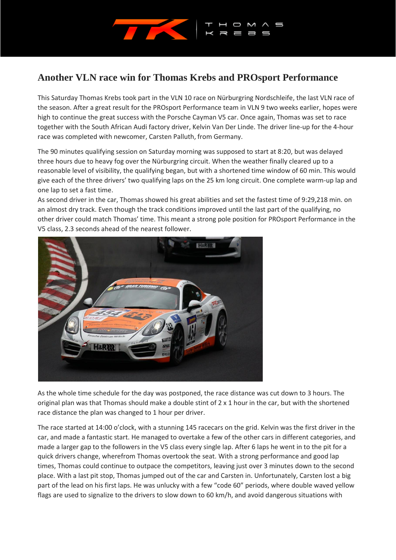

## **Another VLN race win for Thomas Krebs and PROsport Performance**

This Saturday Thomas Krebs took part in the VLN 10 race on Nürburgring Nordschleife, the last VLN race of the season. After a great result for the PROsport Performance team in VLN 9 two weeks earlier, hopes were high to continue the great success with the Porsche Cayman V5 car. Once again, Thomas was set to race together with the South African Audi factory driver, Kelvin Van Der Linde. The driver line-up for the 4-hour race was completed with newcomer, Carsten Palluth, from Germany.

The 90 minutes qualifying session on Saturday morning was supposed to start at 8:20, but was delayed three hours due to heavy fog over the Nürburgring circuit. When the weather finally cleared up to a reasonable level of visibility, the qualifying began, but with a shortened time window of 60 min. This would give each of the three drivers' two qualifying laps on the 25 km long circuit. One complete warm-up lap and one lap to set a fast time.

As second driver in the car, Thomas showed his great abilities and set the fastest time of 9:29,218 min. on an almost dry track. Even though the track conditions improved until the last part of the qualifying, no other driver could match Thomas' time. This meant a strong pole position for PROsport Performance in the V5 class, 2.3 seconds ahead of the nearest follower.



As the whole time schedule for the day was postponed, the race distance was cut down to 3 hours. The original plan was that Thomas should make a double stint of  $2 \times 1$  hour in the car, but with the shortened race distance the plan was changed to 1 hour per driver.

The race started at 14:00 o'clock, with a stunning 145 racecars on the grid. Kelvin was the first driver in the car, and made a fantastic start. He managed to overtake a few of the other cars in different categories, and made a larger gap to the followers in the V5 class every single lap. After 6 laps he went in to the pit for a quick drivers change, wherefrom Thomas overtook the seat. With a strong performance and good lap times, Thomas could continue to outpace the competitors, leaving just over 3 minutes down to the second place. With a last pit stop, Thomas jumped out of the car and Carsten in. Unfortunately, Carsten lost a big part of the lead on his first laps. He was unlucky with a few "code 60" periods, where double waved yellow flags are used to signalize to the drivers to slow down to 60 km/h, and avoid dangerous situations with